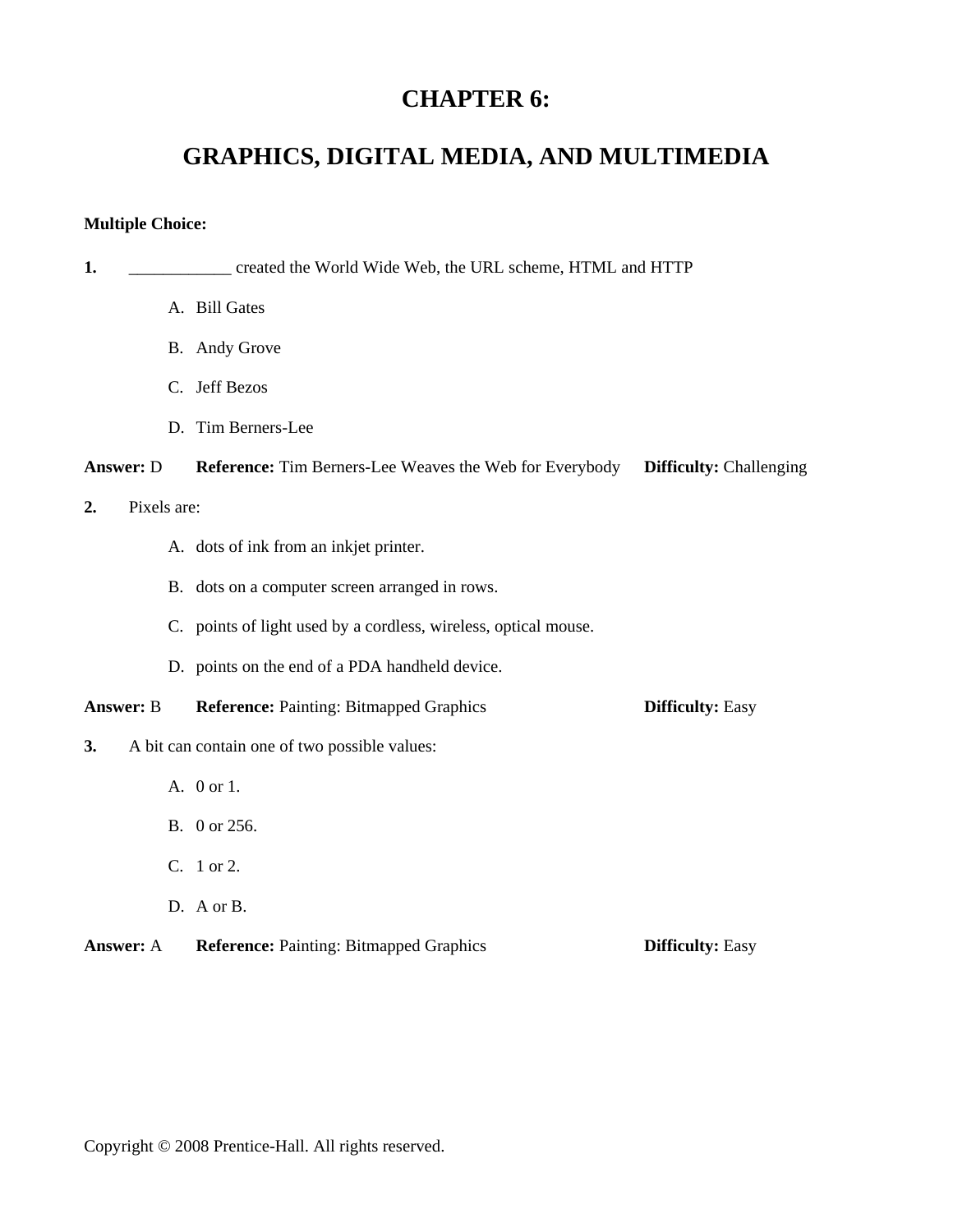## **CHAPTER 6:**

# **GRAPHICS, DIGITAL MEDIA, AND MULTIMEDIA**

## **Multiple Choice:**

| 1.               |             | created the World Wide Web, the URL scheme, HTML and HTTP       |                                |
|------------------|-------------|-----------------------------------------------------------------|--------------------------------|
|                  |             | A. Bill Gates                                                   |                                |
|                  |             | B. Andy Grove                                                   |                                |
|                  |             | C. Jeff Bezos                                                   |                                |
|                  |             | D. Tim Berners-Lee                                              |                                |
| <b>Answer: D</b> |             | <b>Reference:</b> Tim Berners-Lee Weaves the Web for Everybody  | <b>Difficulty:</b> Challenging |
| 2.               | Pixels are: |                                                                 |                                |
|                  |             | A. dots of ink from an inkjet printer.                          |                                |
|                  |             | B. dots on a computer screen arranged in rows.                  |                                |
|                  |             | C. points of light used by a cordless, wireless, optical mouse. |                                |
|                  |             | D. points on the end of a PDA handheld device.                  |                                |
| <b>Answer: B</b> |             | <b>Reference: Painting: Bitmapped Graphics</b>                  | <b>Difficulty: Easy</b>        |
| 3.               |             | A bit can contain one of two possible values:                   |                                |
|                  |             | A. 0 or 1.                                                      |                                |
|                  |             | B. 0 or 256.                                                    |                                |
|                  |             | C. 1 or 2.                                                      |                                |
|                  |             | D. A or B.                                                      |                                |
| <b>Answer: A</b> |             | <b>Reference: Painting: Bitmapped Graphics</b>                  | <b>Difficulty: Easy</b>        |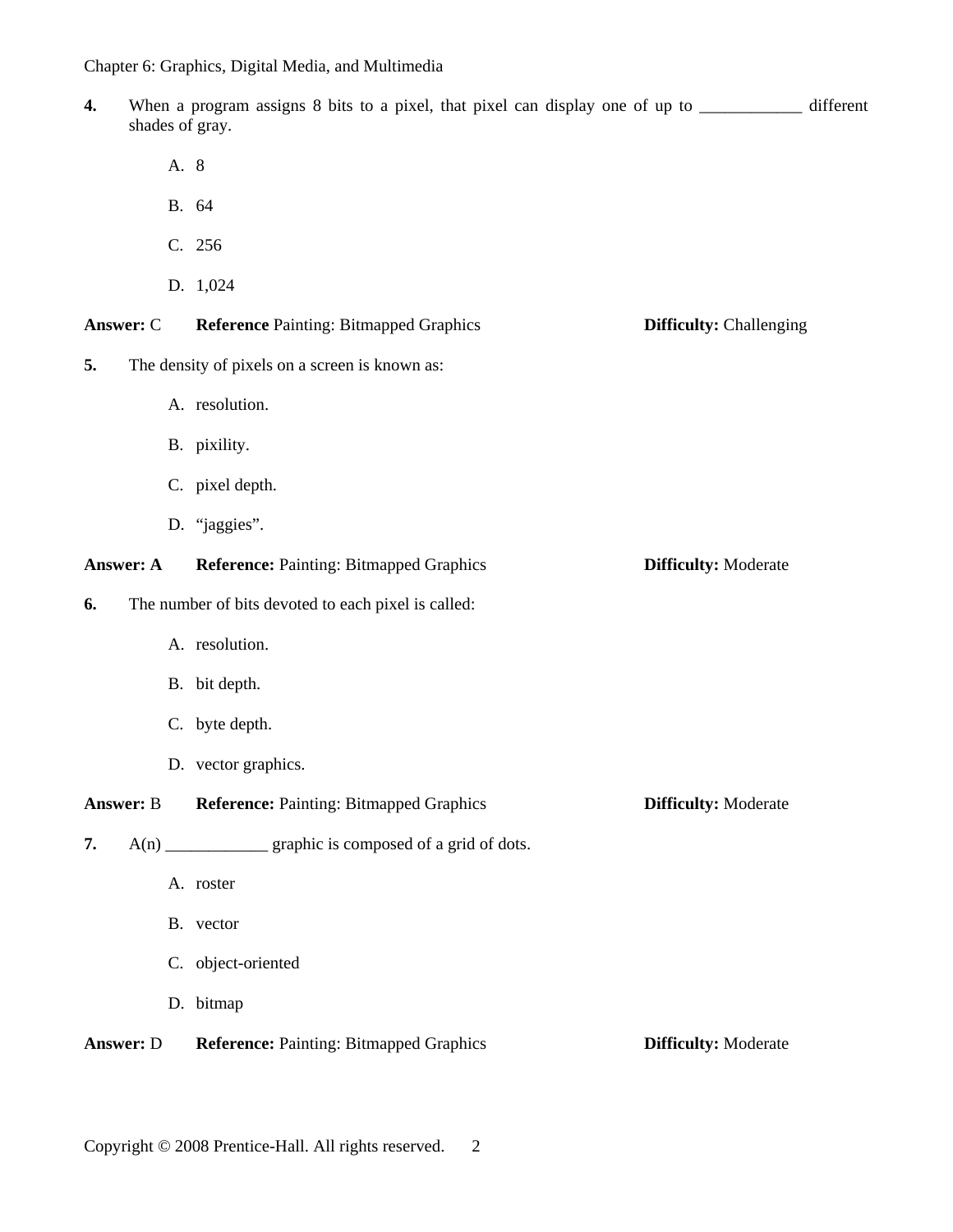- **4.** When a program assigns 8 bits to a pixel, that pixel can display one of up to \_\_\_\_\_\_\_\_\_\_\_\_ different shades of gray.
	- A. 8
	- B. 64
	- C. 256
	- D. 1,024

#### **Answer:** C **Reference** Painting: Bitmapped Graphics **Difficulty:** Challenging

- **5.** The density of pixels on a screen is known as:
	- A. resolution.
	- B. pixility.
	- C. pixel depth.
	- D. "jaggies".

### **Answer: A Reference: Painting: Bitmapped Graphics <b>Difficulty: Moderate**

#### **6.** The number of bits devoted to each pixel is called:

- A. resolution.
- B. bit depth.
- C. byte depth.
- D. vector graphics.

**Answer: B Reference: Painting: Bitmapped Graphics <b>Difficulty:** Moderate

- **7.** A(n) \_\_\_\_\_\_\_\_\_\_\_\_ graphic is composed of a grid of dots.
	- A. roster
	- B. vector
	- C. object-oriented
	- D. bitmap

**Answer: D Reference: Painting: Bitmapped Graphics <b>Difficulty:** Moderate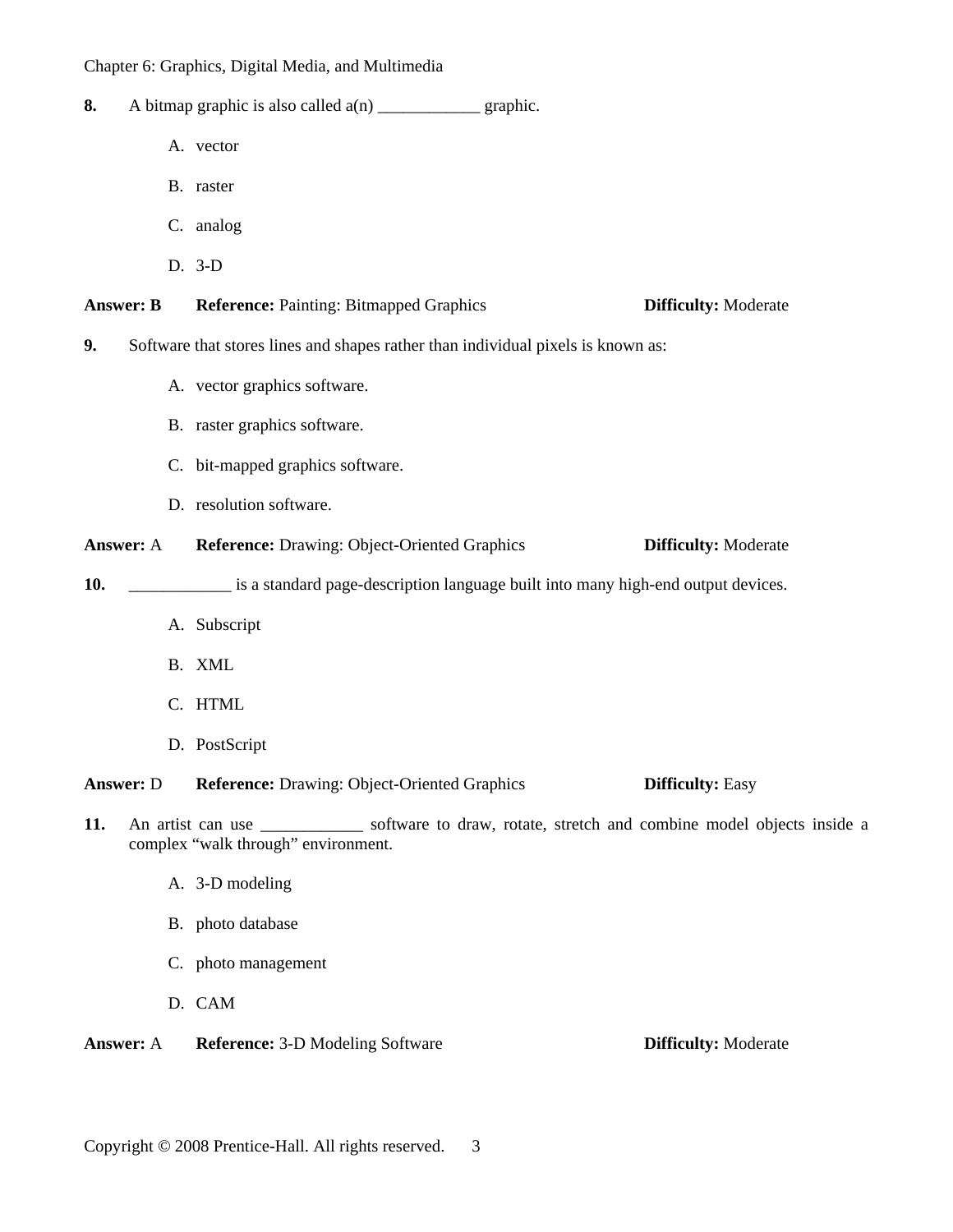| 8.  |                  |                                                                                                                                             |
|-----|------------------|---------------------------------------------------------------------------------------------------------------------------------------------|
|     |                  | A. vector                                                                                                                                   |
|     |                  | B. raster                                                                                                                                   |
|     |                  | C. analog                                                                                                                                   |
|     |                  | D. 3-D                                                                                                                                      |
|     | <b>Answer: B</b> | <b>Reference: Painting: Bitmapped Graphics</b><br><b>Difficulty: Moderate</b>                                                               |
| 9.  |                  | Software that stores lines and shapes rather than individual pixels is known as:                                                            |
|     |                  | A. vector graphics software.                                                                                                                |
|     |                  | B. raster graphics software.                                                                                                                |
|     |                  | C. bit-mapped graphics software.                                                                                                            |
|     |                  | D. resolution software.                                                                                                                     |
|     | <b>Answer: A</b> | <b>Reference:</b> Drawing: Object-Oriented Graphics<br><b>Difficulty: Moderate</b>                                                          |
| 10. |                  | is a standard page-description language built into many high-end output devices.                                                            |
|     |                  | A. Subscript                                                                                                                                |
|     |                  | B. XML                                                                                                                                      |
|     |                  | C. HTML                                                                                                                                     |
|     |                  | D. PostScript                                                                                                                               |
|     | <b>Answer:</b> D | <b>Reference:</b> Drawing: Object-Oriented Graphics<br><b>Difficulty: Easy</b>                                                              |
| 11. |                  | An artist can use _____________ software to draw, rotate, stretch and combine model objects inside a<br>complex "walk through" environment. |
|     |                  | A. 3-D modeling                                                                                                                             |
|     |                  | B. photo database                                                                                                                           |
|     |                  | C. photo management                                                                                                                         |
|     |                  | D. CAM                                                                                                                                      |

Answer: A Reference: 3-D Modeling Software **Difficulty:** Moderate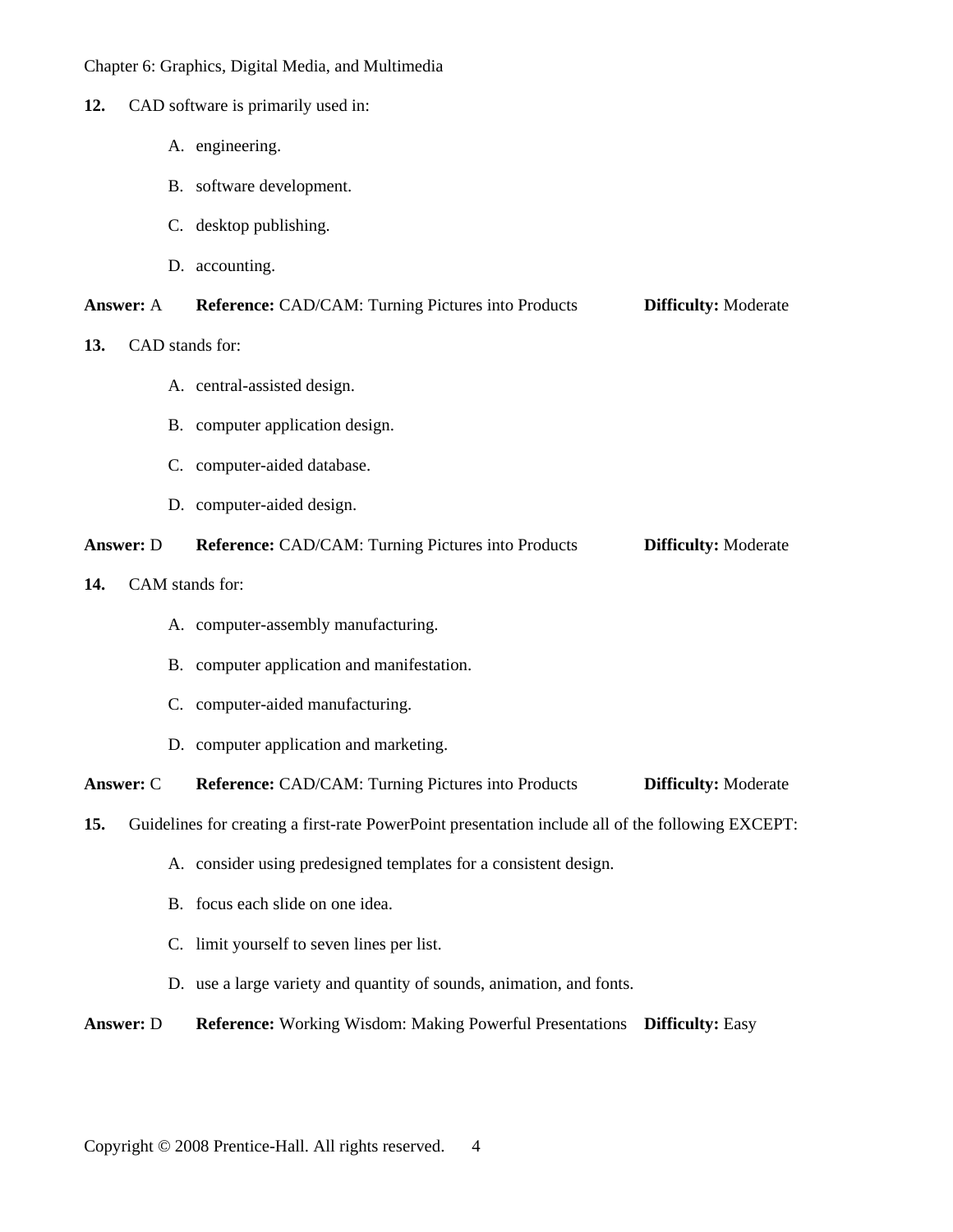#### **12.** CAD software is primarily used in:

- A. engineering.
- B. software development.
- C. desktop publishing.
- D. accounting.

#### **Answer:** A **Reference:** CAD/CAM: Turning Pictures into Products **Difficulty:** Moderate

- **13.** CAD stands for:
	- A. central-assisted design.
	- B. computer application design.
	- C. computer-aided database.
	- D. computer-aided design.

### **Answer:** D **Reference:** CAD/CAM: Turning Pictures into Products **Difficulty:** Moderate

- **14.** CAM stands for:
	- A. computer-assembly manufacturing.
	- B. computer application and manifestation.
	- C. computer-aided manufacturing.
	- D. computer application and marketing.

**Answer:** C **Reference:** CAD/CAM: Turning Pictures into Products **Difficulty:** Moderate

**15.** Guidelines for creating a first-rate PowerPoint presentation include all of the following EXCEPT:

- A. consider using predesigned templates for a consistent design.
- B. focus each slide on one idea.
- C. limit yourself to seven lines per list.
- D. use a large variety and quantity of sounds, animation, and fonts.

**Answer:** D **Reference:** Working Wisdom: Making Powerful Presentations **Difficulty:** Easy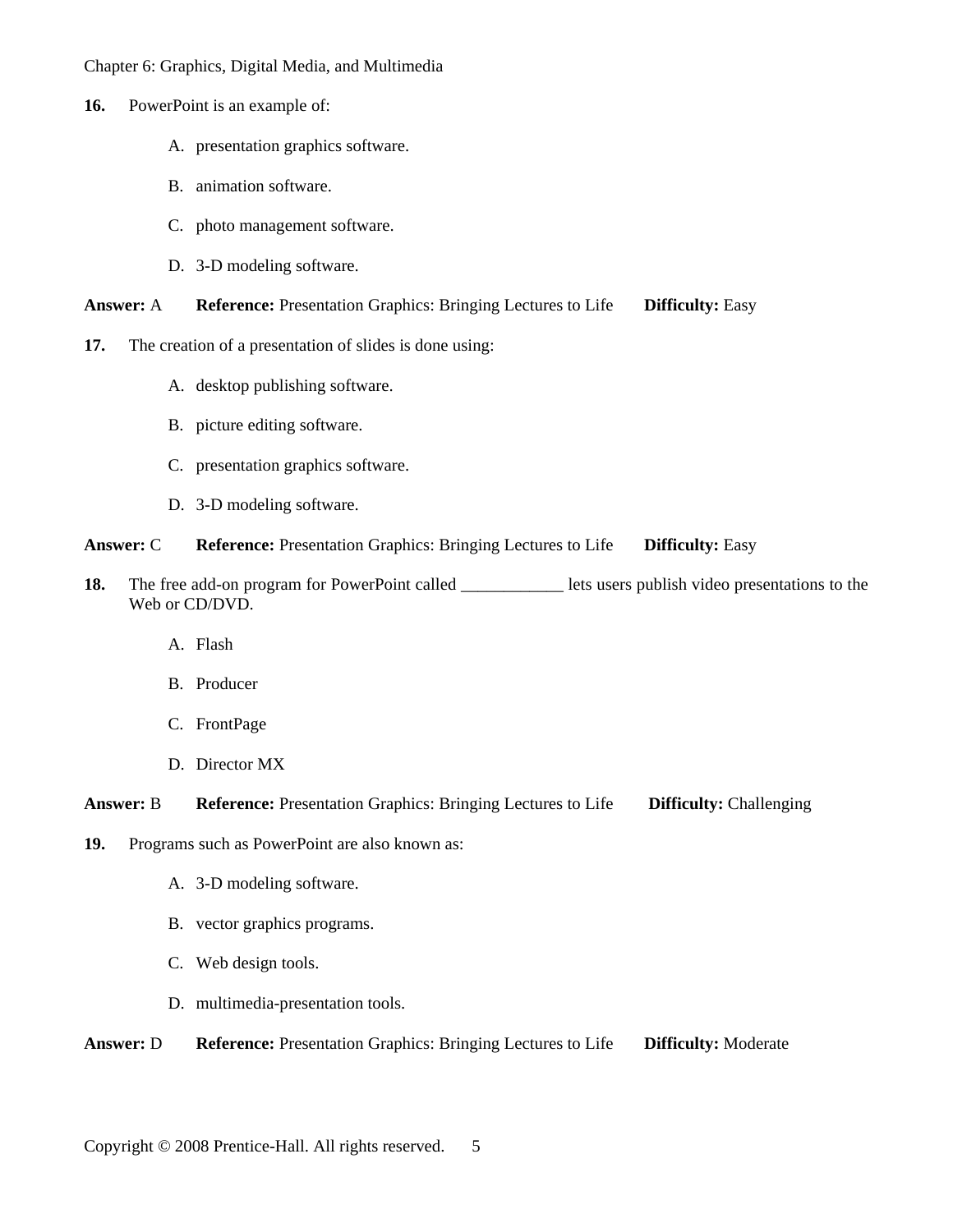- **16.** PowerPoint is an example of:
	- A. presentation graphics software.
	- B. animation software.
	- C. photo management software.
	- D. 3-D modeling software.

#### **Answer:** A **Reference:** Presentation Graphics: Bringing Lectures to Life **Difficulty:** Easy

- **17.** The creation of a presentation of slides is done using:
	- A. desktop publishing software.
	- B. picture editing software.
	- C. presentation graphics software.
	- D. 3-D modeling software.

#### **Answer:** C **Reference:** Presentation Graphics: Bringing Lectures to Life **Difficulty:** Easy

- **18.** The free add-on program for PowerPoint called lets users publish video presentations to the Web or CD/DVD.
	- A. Flash
	- B. Producer
	- C. FrontPage
	- D. Director MX

**Answer:** B **Reference:** Presentation Graphics: Bringing Lectures to Life **Difficulty:** Challenging

- **19.** Programs such as PowerPoint are also known as:
	- A. 3-D modeling software.
	- B. vector graphics programs.
	- C. Web design tools.
	- D. multimedia-presentation tools.

**Answer:** D **Reference:** Presentation Graphics: Bringing Lectures to Life **Difficulty:** Moderate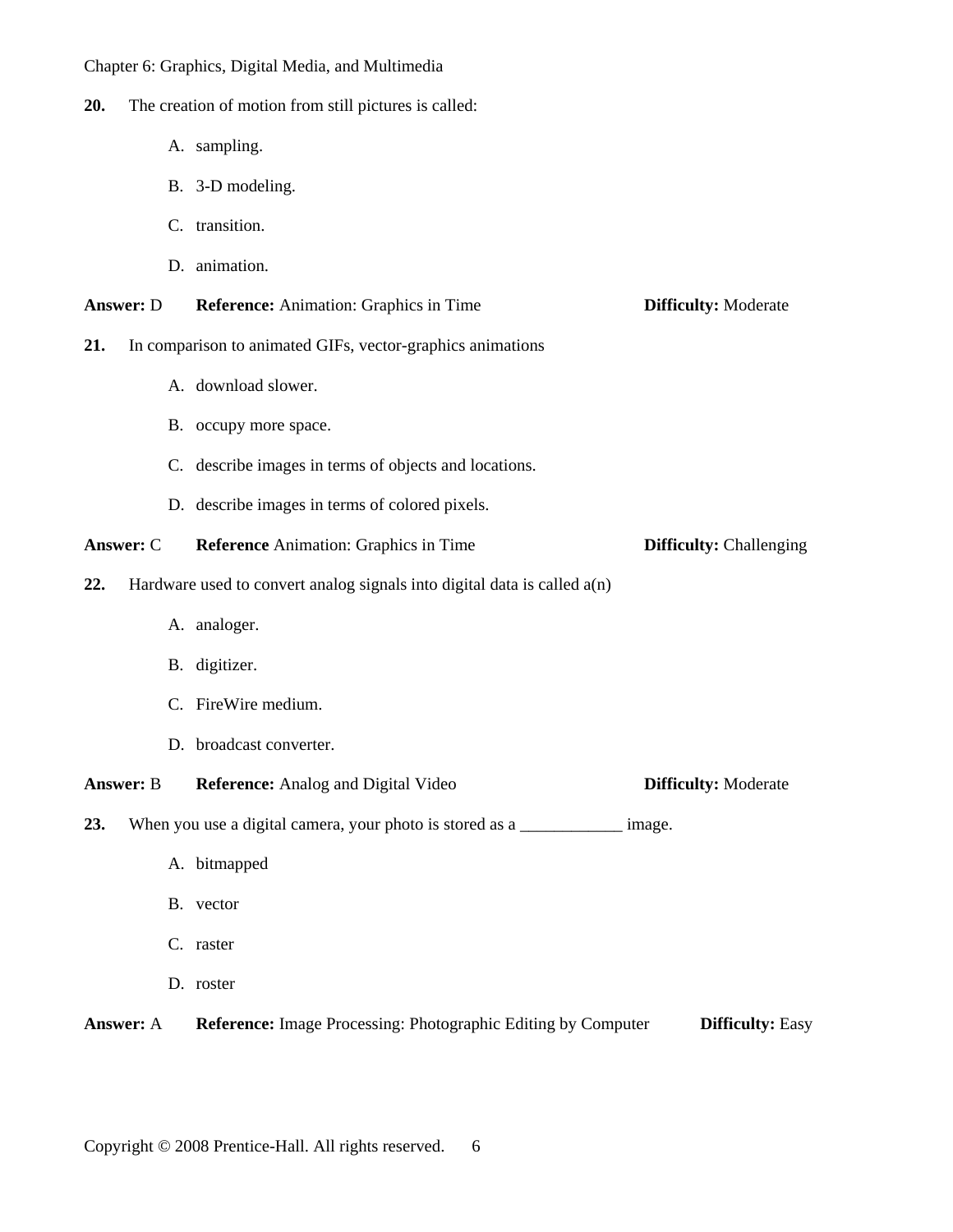- **20.** The creation of motion from still pictures is called:
	- A. sampling.
	- B. 3-D modeling.
	- C. transition.
	- D. animation.
- **Answer:** D **Reference:** Animation: Graphics in Time **Difficulty:** Moderate
- **21.** In comparison to animated GIFs, vector-graphics animations
	- A. download slower.
	- B. occupy more space.
	- C. describe images in terms of objects and locations.
	- D. describe images in terms of colored pixels.
- **Answer:** C **Reference** Animation: Graphics in Time **Difficulty:** Challenging
- **22.** Hardware used to convert analog signals into digital data is called a(n)
	- A. analoger.
	- B. digitizer.
	- C. FireWire medium.
	- D. broadcast converter.

**Answer: B Reference:** Analog and Digital Video **Difficulty:** Moderate

**23.** When you use a digital camera, your photo is stored as a \_\_\_\_\_\_\_\_\_\_\_\_\_ image.

- A. bitmapped
- B. vector
- C. raster
- D. roster

**Answer:** A **Reference:** Image Processing: Photographic Editing by Computer **Difficulty:** Easy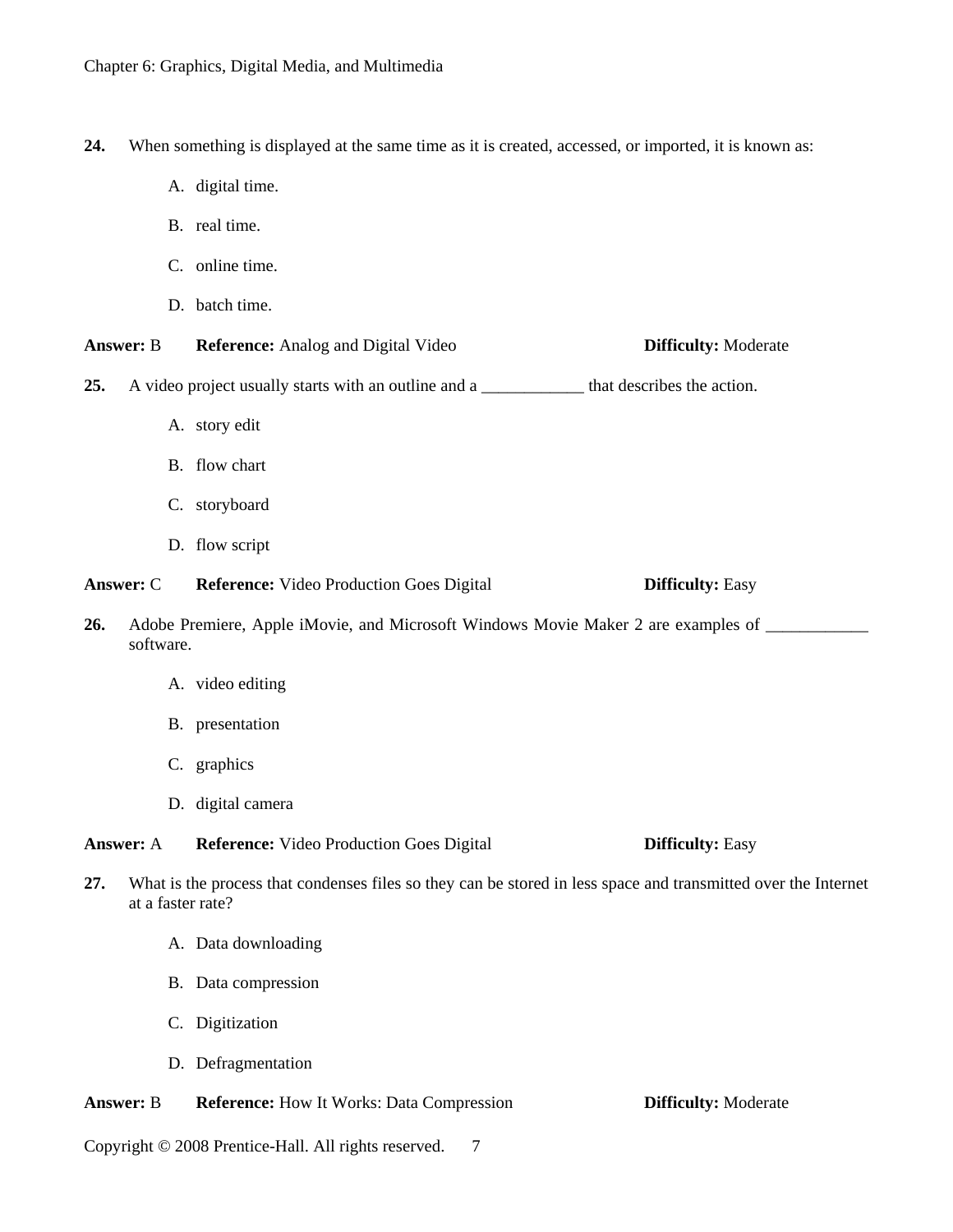- **24.** When something is displayed at the same time as it is created, accessed, or imported, it is known as:
	- A. digital time.
	- B. real time.
	- C. online time.
	- D. batch time.

**Answer:** B **Reference:** Analog and Digital Video **Difficulty:** Moderate

- **25.** A video project usually starts with an outline and a \_\_\_\_\_\_\_\_\_\_\_\_ that describes the action.
	- A. story edit
	- B. flow chart
	- C. storyboard
	- D. flow script

**Answer:** C **Reference:** Video Production Goes Digital **Difficulty:** Easy

- 26. Adobe Premiere, Apple iMovie, and Microsoft Windows Movie Maker 2 are examples of \_\_\_\_\_\_\_\_\_\_\_\_\_\_ software.
	- A. video editing
	- B. presentation
	- C. graphics
	- D. digital camera

**Answer:** A **Reference:** Video Production Goes Digital **Difficulty:** Easy

- **27.** What is the process that condenses files so they can be stored in less space and transmitted over the Internet at a faster rate?
	- A. Data downloading
	- B. Data compression
	- C. Digitization
	- D. Defragmentation

**Answer:** B **Reference:** How It Works: Data Compression **Difficulty:** Moderate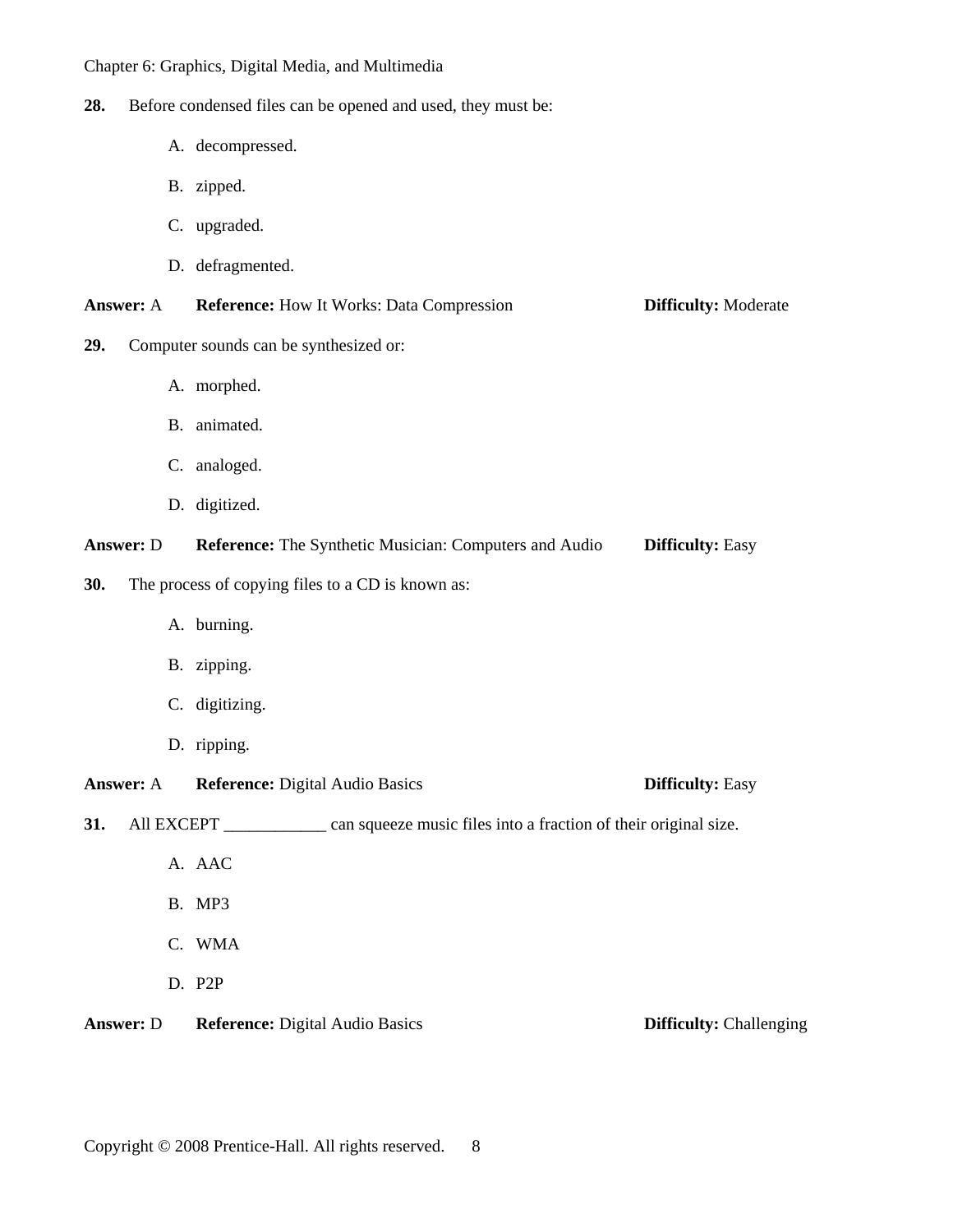**28.** Before condensed files can be opened and used, they must be:

- A. decompressed.
- B. zipped.
- C. upgraded.
- D. defragmented.

| <b>Answer:</b> A | <b>Reference:</b> How It Works: Data Compression | <b>Difficulty:</b> Moderate |
|------------------|--------------------------------------------------|-----------------------------|
|------------------|--------------------------------------------------|-----------------------------|

- **29.** Computer sounds can be synthesized or:
	- A. morphed.
	- B. animated.
	- C. analoged.
	- D. digitized.

**Answer:** D **Reference:** The Synthetic Musician: Computers and Audio **Difficulty:** Easy

- **30.** The process of copying files to a CD is known as:
	- A. burning.
	- B. zipping.
	- C. digitizing.
	- D. ripping.

**Answer:** A **Reference:** Digital Audio Basics **Difficulty:** Easy

**31.** All EXCEPT \_\_\_\_\_\_\_\_\_\_ can squeeze music files into a fraction of their original size.

- A. AAC
- B. MP3
- C. WMA
- D. P2P

**Answer: D** Reference: Digital Audio Basics **Difficulty: Challenging**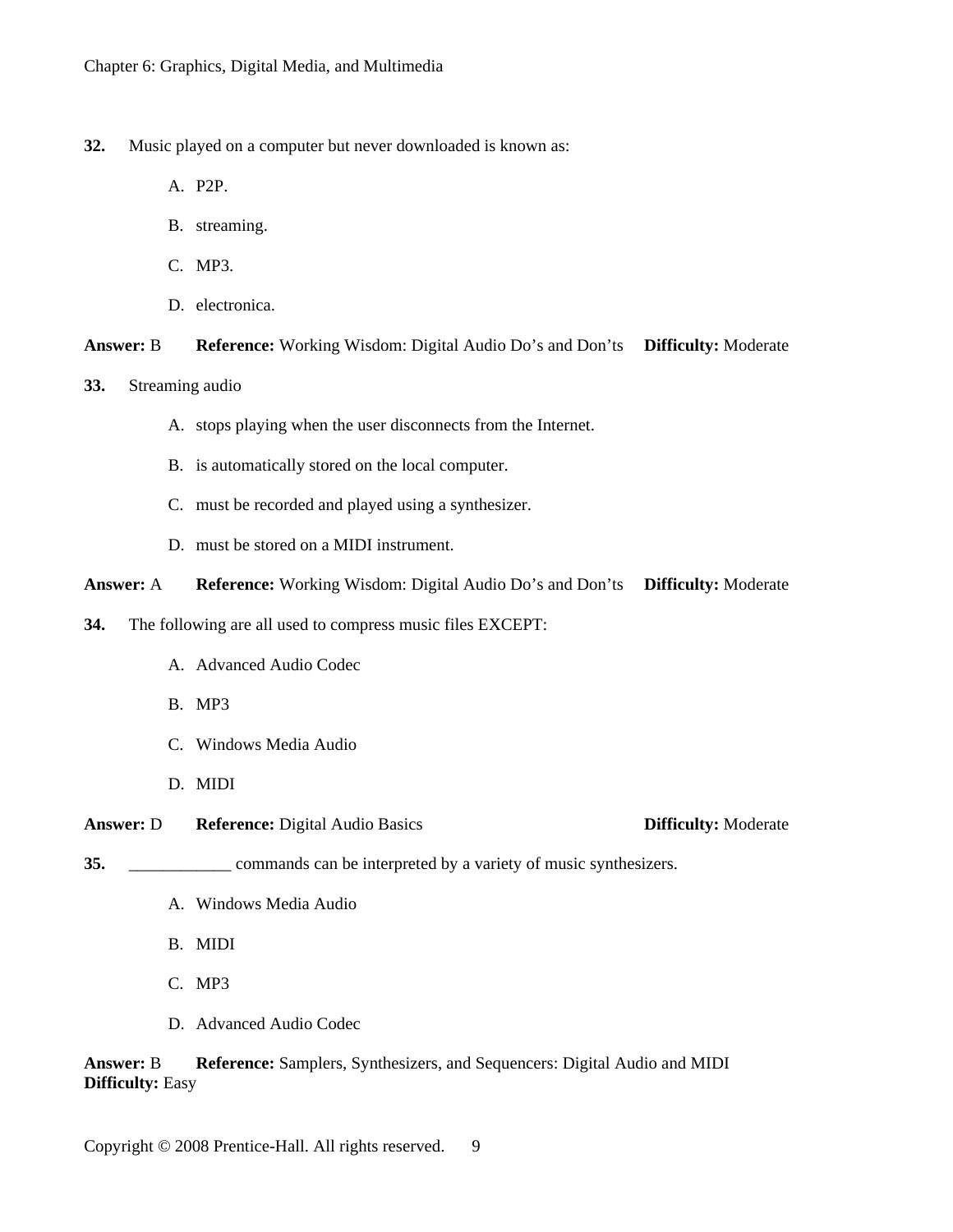- **32.** Music played on a computer but never downloaded is known as:
	- A. P2P.
	- B. streaming.
	- C. MP3.
	- D. electronica.

**Answer:** B **Reference:** Working Wisdom: Digital Audio Do's and Don'ts **Difficulty:** Moderate

- **33.** Streaming audio
	- A. stops playing when the user disconnects from the Internet.
	- B. is automatically stored on the local computer.
	- C. must be recorded and played using a synthesizer.
	- D. must be stored on a MIDI instrument.

**Answer:** A **Reference:** Working Wisdom: Digital Audio Do's and Don'ts **Difficulty:** Moderate

**34.** The following are all used to compress music files EXCEPT:

- A. Advanced Audio Codec
- B. MP3
- C. Windows Media Audio
- D. MIDI

**Answer:** D **Reference:** Digital Audio Basics **Difficulty:** Moderate

**35.** \_\_\_\_\_\_\_\_\_\_\_\_ commands can be interpreted by a variety of music synthesizers.

- A. Windows Media Audio
- B. MIDI
- C. MP3
- D. Advanced Audio Codec

**Answer:** B **Reference:** Samplers, Synthesizers, and Sequencers: Digital Audio and MIDI **Difficulty:** Easy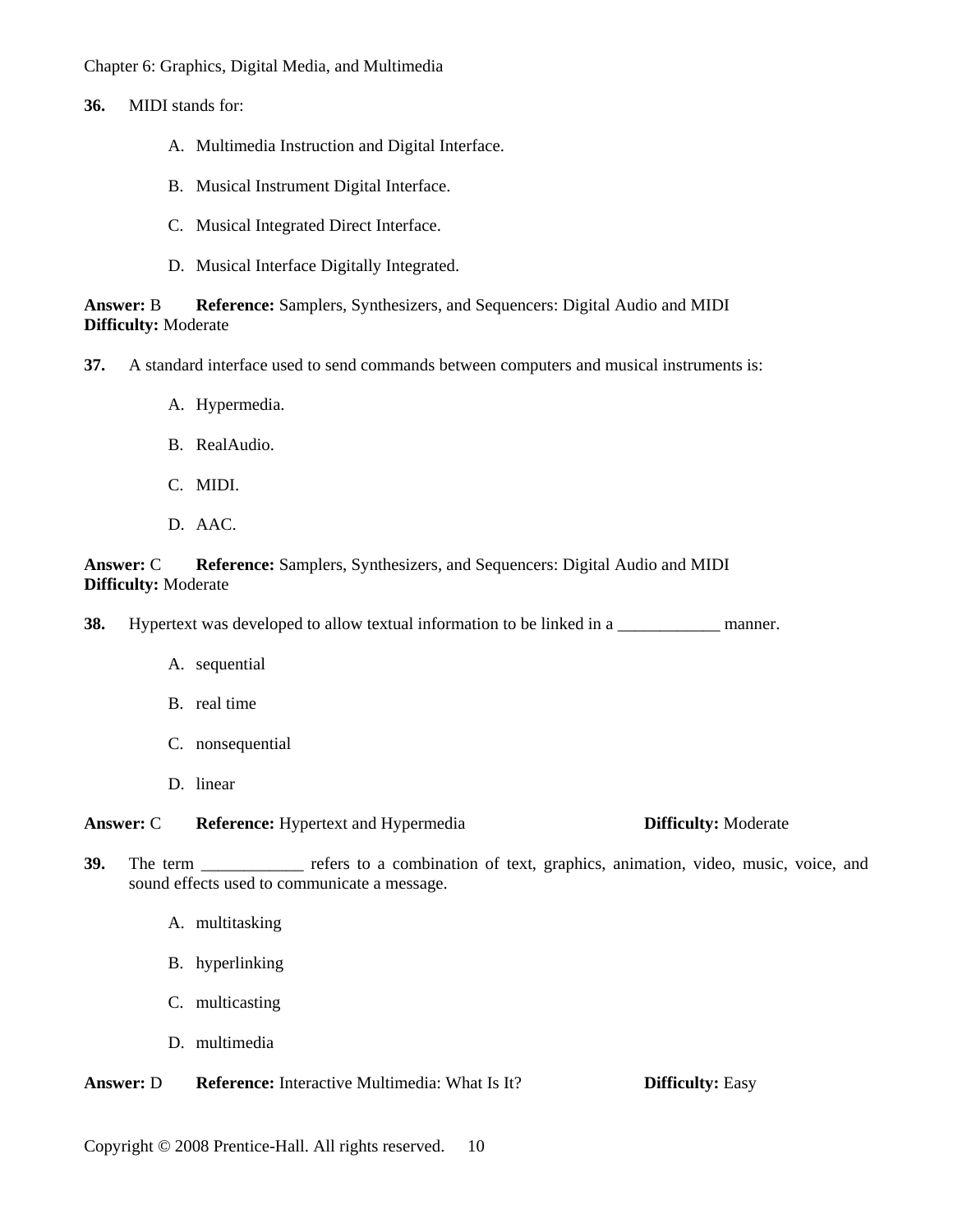**36.** MIDI stands for:

- A. Multimedia Instruction and Digital Interface.
- B. Musical Instrument Digital Interface.
- C. Musical Integrated Direct Interface.
- D. Musical Interface Digitally Integrated.

**Answer:** B **Reference:** Samplers, Synthesizers, and Sequencers: Digital Audio and MIDI **Difficulty:** Moderate

- **37.** A standard interface used to send commands between computers and musical instruments is:
	- A. Hypermedia.
	- B. RealAudio.
	- C. MIDI.
	- D. AAC.

**Answer:** C **Reference:** Samplers, Synthesizers, and Sequencers: Digital Audio and MIDI **Difficulty:** Moderate

**38.** Hypertext was developed to allow textual information to be linked in a \_\_\_\_\_\_\_\_\_\_\_\_ manner.

- A. sequential
- B. real time
- C. nonsequential
- D. linear

**Answer:** C **Reference:** Hypertext and Hypermedia **Difficulty:** Moderate

- **39.** The term \_\_\_\_\_\_\_\_\_\_\_\_ refers to a combination of text, graphics, animation, video, music, voice, and sound effects used to communicate a message.
	- A. multitasking
	- B. hyperlinking
	- C. multicasting
	- D. multimedia

**Answer:** D **Reference:** Interactive Multimedia: What Is It? **Difficulty:** Easy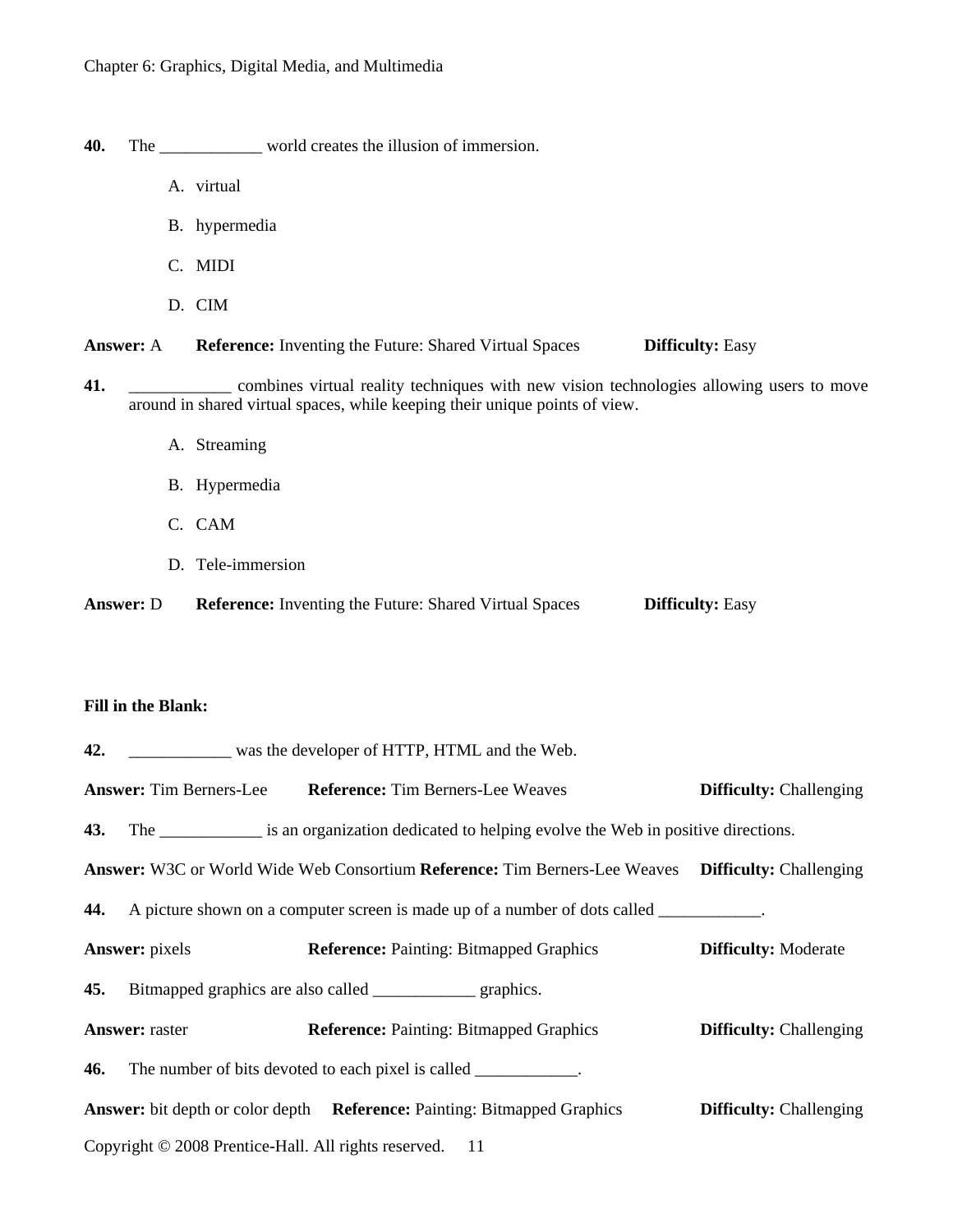- **40.** The \_\_\_\_\_\_\_\_\_\_\_\_ world creates the illusion of immersion.
	- A. virtual
	- B. hypermedia
	- C. MIDI
	- D. CIM

**Answer:** A **Reference:** Inventing the Future: Shared Virtual Spaces **Difficulty:** Easy

- **41.** \_\_\_\_\_\_\_\_\_\_\_\_ combines virtual reality techniques with new vision technologies allowing users to move around in shared virtual spaces, while keeping their unique points of view.
	- A. Streaming
	- B. Hypermedia
	- C. CAM
	- D. Tele-immersion

**Answer:** D **Reference:** Inventing the Future: Shared Virtual Spaces **Difficulty:** Easy

#### **Fill in the Blank:**

|                       | 42. ________________ was the developer of HTTP, HTML and the Web.                                    |                                |
|-----------------------|------------------------------------------------------------------------------------------------------|--------------------------------|
|                       | <b>Answer:</b> Tim Berners-Lee Reference: Tim Berners-Lee Weaves                                     | <b>Difficulty:</b> Challenging |
|                       | 43. The _____________ is an organization dedicated to helping evolve the Web in positive directions. |                                |
|                       | Answer: W3C or World Wide Web Consortium Reference: Tim Berners-Lee Weaves Difficulty: Challenging   |                                |
|                       | 44. A picture shown on a computer screen is made up of a number of dots called __________.           |                                |
| <b>Answer:</b> pixels | <b>Reference:</b> Painting: Bitmapped Graphics                                                       | <b>Difficulty: Moderate</b>    |
|                       | <b>45.</b> Bitmapped graphics are also called _________________ graphics.                            |                                |
| <b>Answer:</b> raster | <b>Reference:</b> Painting: Bitmapped Graphics                                                       | <b>Difficulty:</b> Challenging |
|                       | <b>46.</b> The number of bits devoted to each pixel is called ____________.                          |                                |
|                       | <b>Answer:</b> bit depth or color depth <b>Reference:</b> Painting: Bitmapped Graphics               | <b>Difficulty:</b> Challenging |
|                       | Copyright © 2008 Prentice-Hall. All rights reserved. 11                                              |                                |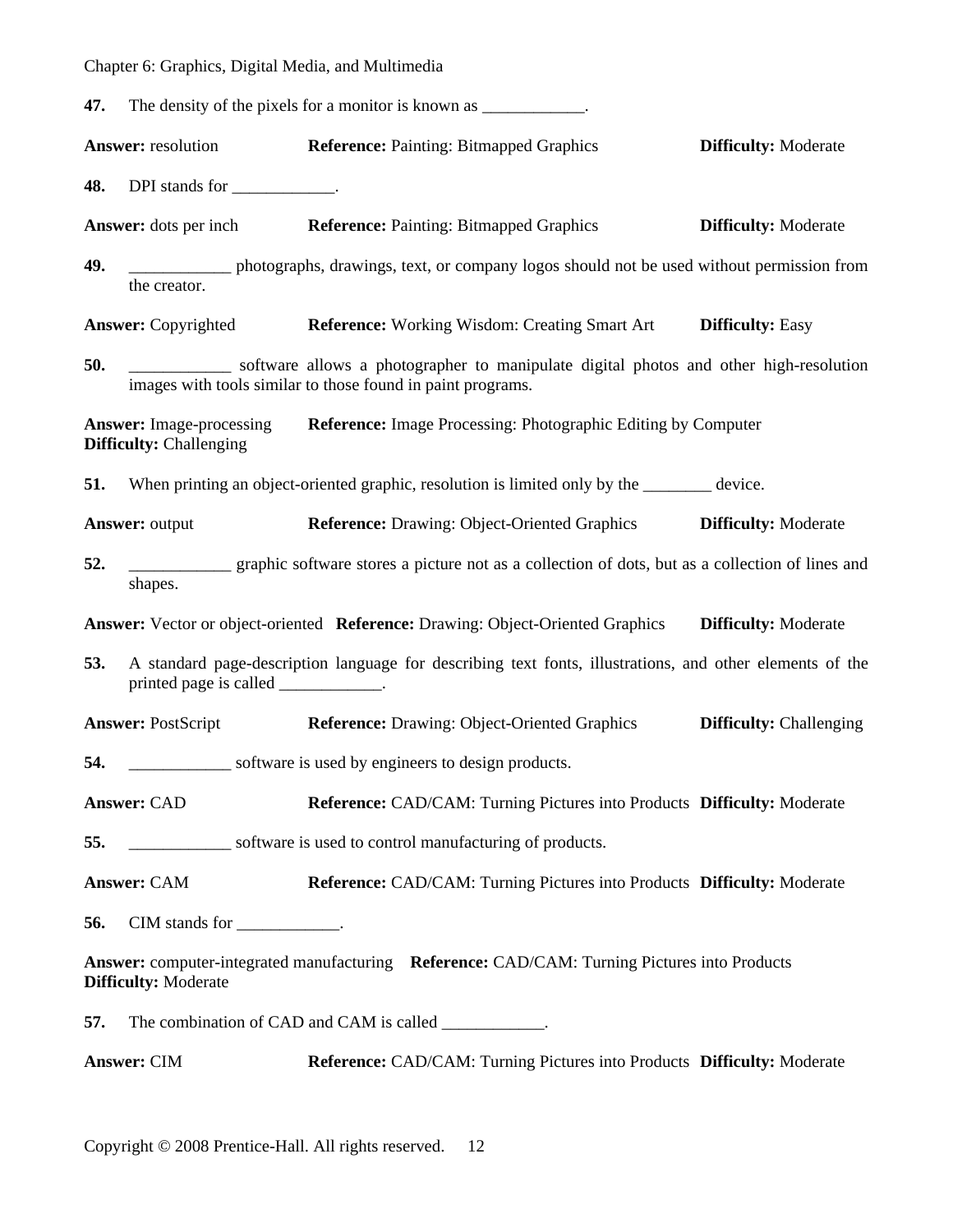| 47. | The density of the pixels for a monitor is known as |  |
|-----|-----------------------------------------------------|--|
|-----|-----------------------------------------------------|--|

|     | Answer: resolution                                                | <b>Reference: Painting: Bitmapped Graphics</b>                                                                                                       | <b>Difficulty: Moderate</b>    |
|-----|-------------------------------------------------------------------|------------------------------------------------------------------------------------------------------------------------------------------------------|--------------------------------|
| 48. | DPI stands for ____________.                                      |                                                                                                                                                      |                                |
|     |                                                                   | <b>Answer:</b> dots per inch <b>Reference:</b> Painting: Bitmapped Graphics                                                                          | <b>Difficulty: Moderate</b>    |
| 49. | the creator.                                                      | photographs, drawings, text, or company logos should not be used without permission from                                                             |                                |
|     | <b>Answer:</b> Copyrighted                                        | <b>Reference:</b> Working Wisdom: Creating Smart Art                                                                                                 | <b>Difficulty: Easy</b>        |
| 50. |                                                                   | software allows a photographer to manipulate digital photos and other high-resolution<br>images with tools similar to those found in paint programs. |                                |
|     | <b>Answer:</b> Image-processing<br><b>Difficulty:</b> Challenging | <b>Reference:</b> Image Processing: Photographic Editing by Computer                                                                                 |                                |
| 51. |                                                                   | When printing an object-oriented graphic, resolution is limited only by the ______ device.                                                           |                                |
|     | <b>Answer: output</b>                                             | Reference: Drawing: Object-Oriented Graphics Difficulty: Moderate                                                                                    |                                |
| 52. | shapes.                                                           | graphic software stores a picture not as a collection of dots, but as a collection of lines and                                                      |                                |
|     |                                                                   | <b>Answer:</b> Vector or object-oriented <b>Reference:</b> Drawing: Object-Oriented Graphics <b>Difficulty:</b> Moderate                             |                                |
| 53. | printed page is called ____________.                              | A standard page-description language for describing text fonts, illustrations, and other elements of the                                             |                                |
|     | <b>Answer: PostScript</b>                                         | <b>Reference:</b> Drawing: Object-Oriented Graphics                                                                                                  | <b>Difficulty:</b> Challenging |
| 54. |                                                                   | _______________ software is used by engineers to design products.                                                                                    |                                |
|     | <b>Answer: CAD</b>                                                | Reference: CAD/CAM: Turning Pictures into Products Difficulty: Moderate                                                                              |                                |
| 55. |                                                                   | software is used to control manufacturing of products.                                                                                               |                                |
|     | <b>Answer: CAM</b>                                                | Reference: CAD/CAM: Turning Pictures into Products Difficulty: Moderate                                                                              |                                |
| 56. | CIM stands for $\_\_\_\_\_\_\_\_\$ .                              |                                                                                                                                                      |                                |
|     | <b>Difficulty: Moderate</b>                                       | Answer: computer-integrated manufacturing Reference: CAD/CAM: Turning Pictures into Products                                                         |                                |
| 57. |                                                                   | The combination of CAD and CAM is called ___________.                                                                                                |                                |
|     | <b>Answer: CIM</b>                                                | Reference: CAD/CAM: Turning Pictures into Products Difficulty: Moderate                                                                              |                                |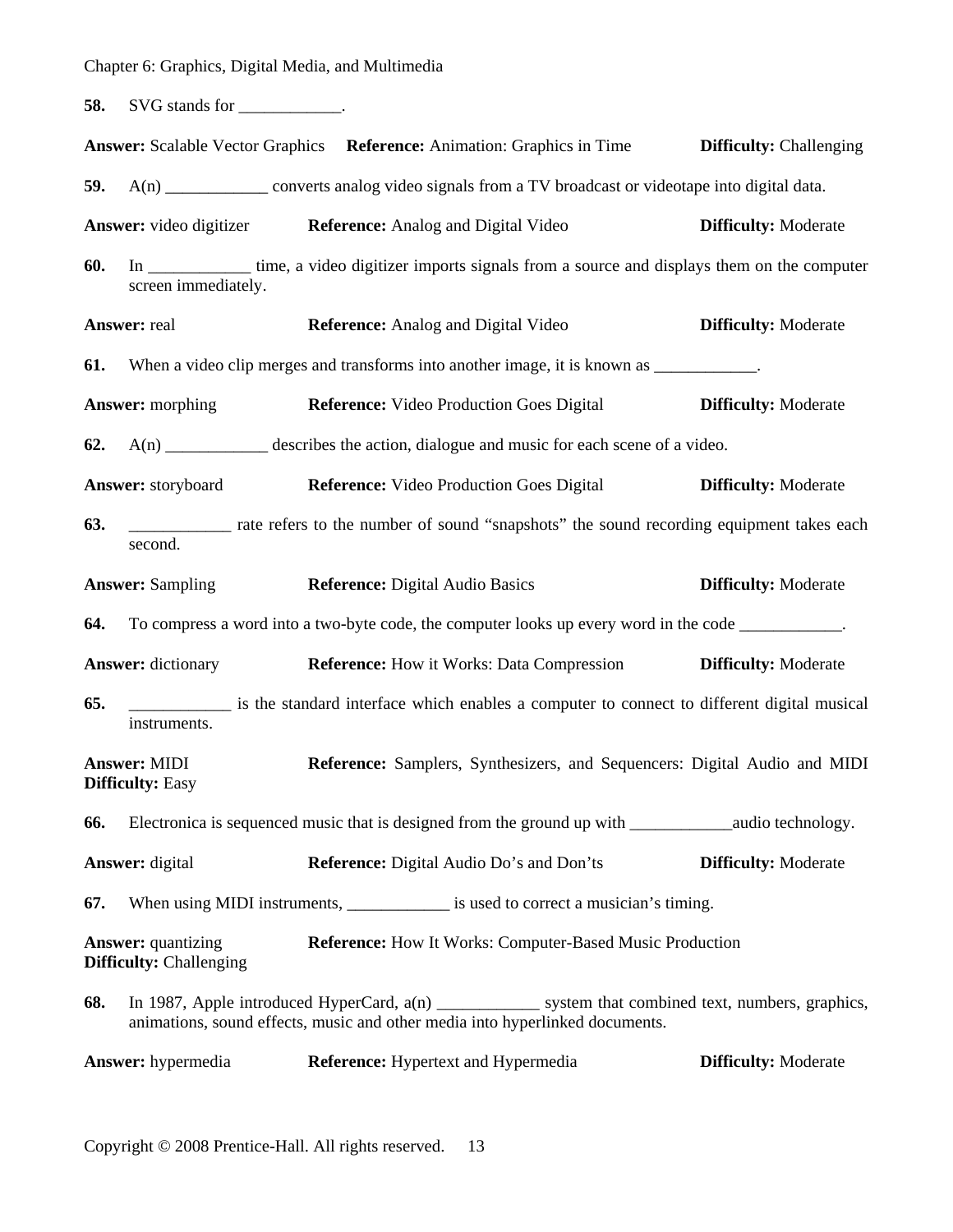**58.** SVG stands for \_\_\_\_\_\_\_\_\_\_\_.

|     |                                                                                                                                                                                       | Answer: Scalable Vector Graphics Reference: Animation: Graphics in Time                                  | <b>Difficulty:</b> Challenging |  |  |
|-----|---------------------------------------------------------------------------------------------------------------------------------------------------------------------------------------|----------------------------------------------------------------------------------------------------------|--------------------------------|--|--|
| 59. |                                                                                                                                                                                       | A(n) _____________ converts analog video signals from a TV broadcast or videotape into digital data.     |                                |  |  |
|     | <b>Answer:</b> video digitizer                                                                                                                                                        | <b>Reference:</b> Analog and Digital Video                                                               | <b>Difficulty: Moderate</b>    |  |  |
| 60. | screen immediately.                                                                                                                                                                   | In _____________ time, a video digitizer imports signals from a source and displays them on the computer |                                |  |  |
|     | Answer: real                                                                                                                                                                          | <b>Reference:</b> Analog and Digital Video                                                               | <b>Difficulty: Moderate</b>    |  |  |
| 61. |                                                                                                                                                                                       | When a video clip merges and transforms into another image, it is known as ____________.                 |                                |  |  |
|     | <b>Answer:</b> morphing                                                                                                                                                               | <b>Reference:</b> Video Production Goes Digital                                                          | <b>Difficulty: Moderate</b>    |  |  |
| 62. |                                                                                                                                                                                       | A(n) _____________ describes the action, dialogue and music for each scene of a video.                   |                                |  |  |
|     | Answer: storyboard                                                                                                                                                                    | <b>Reference:</b> Video Production Goes Digital                                                          | <b>Difficulty: Moderate</b>    |  |  |
| 63. | second.                                                                                                                                                                               | rate refers to the number of sound "snapshots" the sound recording equipment takes each                  |                                |  |  |
|     | <b>Answer: Sampling</b>                                                                                                                                                               | <b>Reference:</b> Digital Audio Basics                                                                   | <b>Difficulty: Moderate</b>    |  |  |
| 64. |                                                                                                                                                                                       | To compress a word into a two-byte code, the computer looks up every word in the code ___________.       |                                |  |  |
|     | <b>Answer:</b> dictionary                                                                                                                                                             | <b>Reference:</b> How it Works: Data Compression                                                         | <b>Difficulty: Moderate</b>    |  |  |
| 65. | instruments.                                                                                                                                                                          | is the standard interface which enables a computer to connect to different digital musical               |                                |  |  |
|     | <b>Answer: MIDI</b><br><b>Difficulty: Easy</b>                                                                                                                                        | Reference: Samplers, Synthesizers, and Sequencers: Digital Audio and MIDI                                |                                |  |  |
| 66. |                                                                                                                                                                                       | Electronica is sequenced music that is designed from the ground up with ______________audio technology.  |                                |  |  |
|     | <b>Answer:</b> digital                                                                                                                                                                | Reference: Digital Audio Do's and Don'ts                                                                 | <b>Difficulty: Moderate</b>    |  |  |
| 67. |                                                                                                                                                                                       | When using MIDI instruments, _______________ is used to correct a musician's timing.                     |                                |  |  |
|     | Answer: quantizing<br><b>Difficulty: Challenging</b>                                                                                                                                  | Reference: How It Works: Computer-Based Music Production                                                 |                                |  |  |
| 68. | In 1987, Apple introduced HyperCard, a(n) _____________ system that combined text, numbers, graphics,<br>animations, sound effects, music and other media into hyperlinked documents. |                                                                                                          |                                |  |  |
|     | Answer: hypermedia                                                                                                                                                                    | <b>Reference:</b> Hypertext and Hypermedia                                                               | <b>Difficulty: Moderate</b>    |  |  |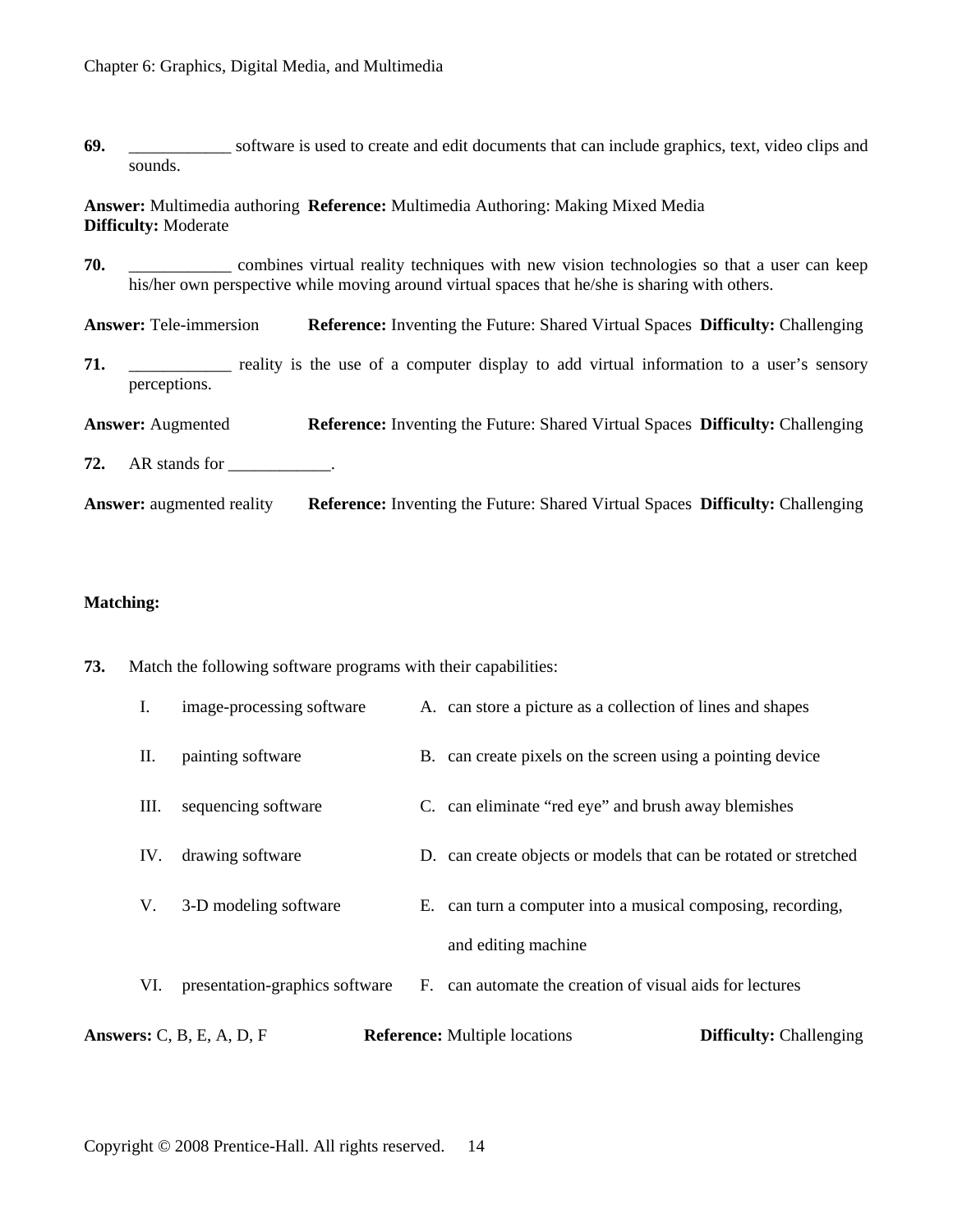**69.** Software is used to create and edit documents that can include graphics, text, video clips and sounds.

**Answer:** Multimedia authoring **Reference:** Multimedia Authoring: Making Mixed Media **Difficulty:** Moderate

**70.** \_\_\_\_\_\_\_\_\_\_\_\_ combines virtual reality techniques with new vision technologies so that a user can keep his/her own perspective while moving around virtual spaces that he/she is sharing with others.

**Answer:** Tele-immersion **Reference:** Inventing the Future: Shared Virtual Spaces **Difficulty:** Challenging

- **71.** \_\_\_\_\_\_\_\_\_\_ reality is the use of a computer display to add virtual information to a user's sensory perceptions.
- **Answer:** Augmented **Reference:** Inventing the Future: Shared Virtual Spaces **Difficulty:** Challenging
- **72.** AR stands for \_\_\_\_\_\_\_\_\_\_\_.
- **Answer:** augmented reality **Reference:** Inventing the Future: Shared Virtual Spaces **Difficulty:** Challenging

#### **Matching:**

**73.** Match the following software programs with their capabilities:

|     | Answers: $C$ , $B$ , $E$ , $A$ , $D$ , $F$ | <b>Reference:</b> Multiple locations<br><b>Difficulty:</b> Challenging |
|-----|--------------------------------------------|------------------------------------------------------------------------|
| VI. | presentation-graphics software             | F. can automate the creation of visual aids for lectures               |
|     |                                            | and editing machine                                                    |
| V.  | 3-D modeling software                      | E. can turn a computer into a musical composing, recording,            |
| IV. | drawing software                           | D. can create objects or models that can be rotated or stretched       |
| Ш.  | sequencing software                        | C. can eliminate "red eye" and brush away blemishes                    |
| П.  | painting software                          | B. can create pixels on the screen using a pointing device             |
| Ι.  | image-processing software                  | A. can store a picture as a collection of lines and shapes             |